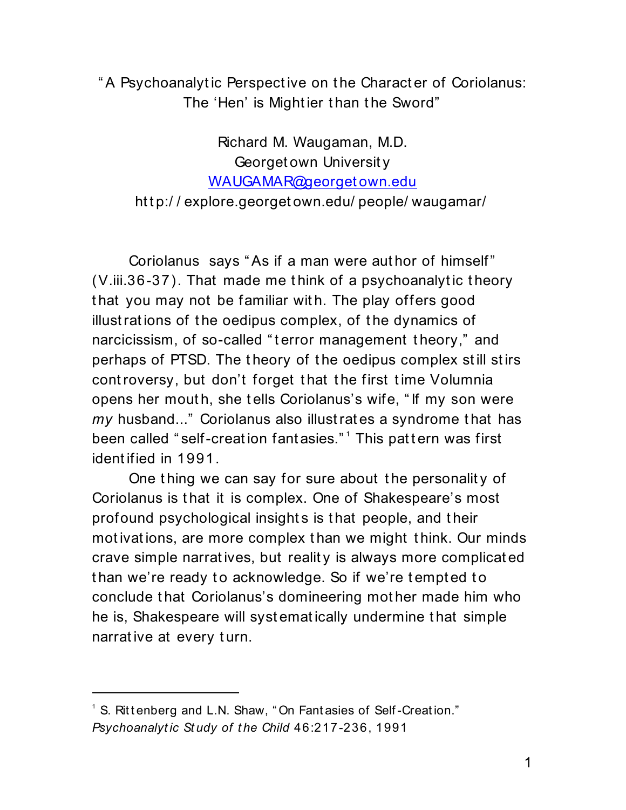" A Psychoanalytic Perspective on the Character of Coriolanus: The 'Hen' is Might ier t han t he Sword"

Richard M. Waugaman, M.D. Georget own Universit y [WAUGAMAR@georget own.edu](mailto:WAUGAMAR@georgetown.edu) http://explore.georgetown.edu/people/waugamar/

Coriolanus says " As if a man were aut hor of himself" (V.iii.36-37). That made me t hink of a psychoanalyt ic t heory that you may not be familiar with. The play offers good illust rat ions of t he oedipus complex, of t he dynamics of narcicissism, of so-called "terror management theory," and perhaps of PTSD. The t heory of t he oedipus complex st ill st irs cont roversy, but don't forget that the first time Volumnia opens her mout h, she t ells Coriolanus's wife, " If my son were *my* husband..." Coriolanus also illust rat es a syndrome t hat has been called "self-creation fantasies."<sup>1</sup> This pattern was first ident ified in 1991.

One thing we can say for sure about the personality of Coriolanus is t hat it is complex. One of Shakespeare's most profound psychological insight s is t hat people, and t heir motivations, are more complex than we might think. Our minds crave simple narrat ives, but realit y is always more complicat ed than we're ready to acknowledge. So if we're tempted to conclude t hat Coriolanus's domineering mot her made him who he is, Shakespeare will syst emat ically undermine t hat simple narrative at every turn.

 $1$  S. Ritt enberg and L.N. Shaw, "On Fant asies of Self-Creation." *Psychoanalyt ic St udy of t he Child* 46:217-236, 1991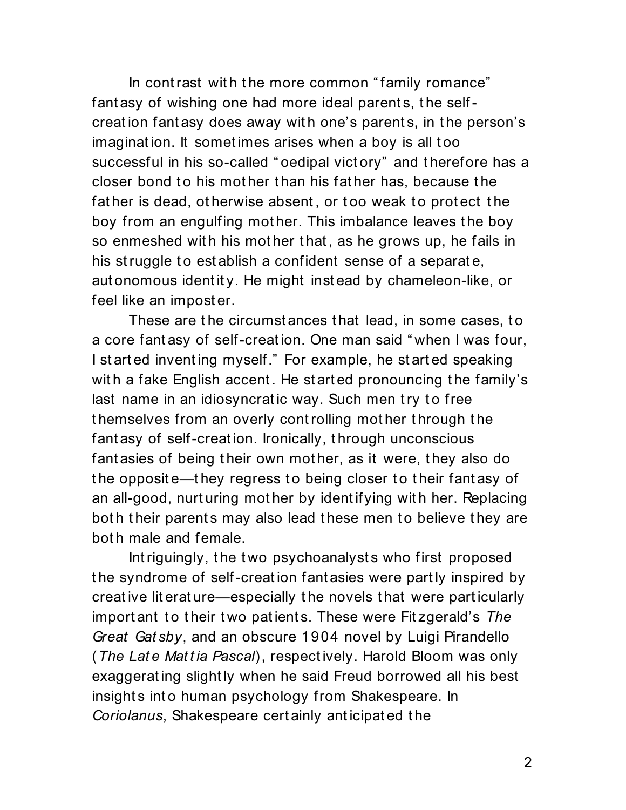In contrast with the more common "family romance" fant asy of wishing one had more ideal parents, the selfcreat ion fant asy does away wit h one's parent s, in t he person's imagination. It sometimes arises when a boy is all too successful in his so-called "oedipal victory" and therefore has a closer bond to his mother than his father has, because the father is dead, otherwise absent, or too weak to protect the boy from an engulfing mother. This imbalance leaves the boy so enmeshed with his mother that, as he grows up, he fails in his struggle to establish a confident sense of a separate, aut onomous ident it y. He might inst ead by chameleon-like, or feel like an impost er.

These are the circumstances that lead, in some cases, to a core fant asy of self-creat ion. One man said " when I was four, I st art ed invent ing myself." For example, he st art ed speaking with a fake English accent. He started pronouncing the family's last name in an idiosyncratic way. Such men try to free t hemselves from an overly cont rolling mot her t hrough t he fant asy of self-creat ion. Ironically, t hrough unconscious fant asies of being their own mother, as it were, they also do the opposite—they regress to being closer to their fantasy of an all-good, nurt uring mot her by ident ifying wit h her. Replacing both their parents may also lead these men to believe they are bot h male and female.

Intriguingly, the two psychoanalysts who first proposed t he syndrome of self-creat ion fant asies were part ly inspired by creat ive lit erat ure—especially t he novels t hat were part icularly import ant to their two patients. These were Fitzgerald's The *Great Gat sby*, and an obscure 1904 novel by Luigi Pirandello (*The Lat e Mat t ia Pascal*), respect ively. Harold Bloom was only exaggerat ing slight ly when he said Freud borrowed all his best insights into human psychology from Shakespeare. In *Coriolanus*, Shakespeare cert ainly ant icipat ed t he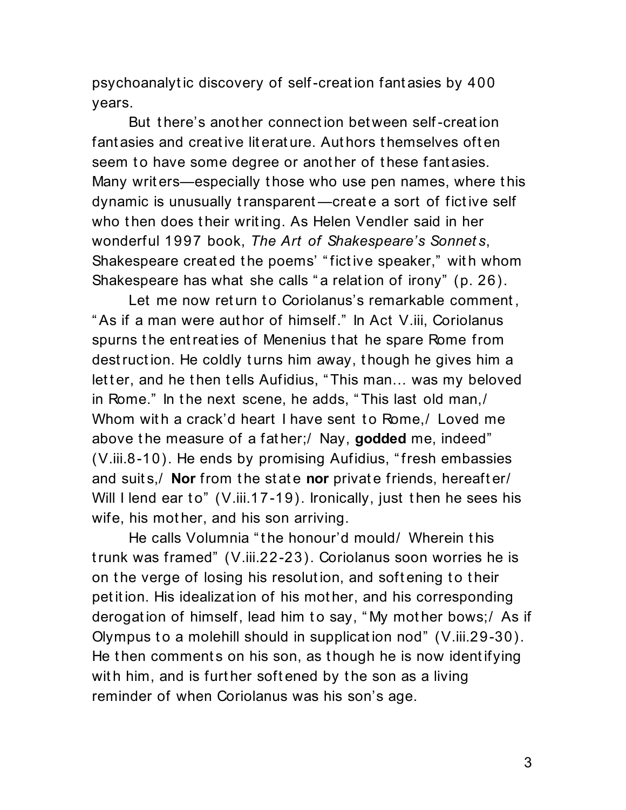psychoanalyt ic discovery of self-creat ion fant asies by 400 years.

But there's another connection between self-creation fant asies and creat ive lit erat ure. Aut hors t hemselves oft en seem to have some degree or another of these fantasies. Many writ ers—especially t hose who use pen names, where t his dynamic is unusually t ransparent —creat e a sort of fict ive self who then does their writing. As Helen Vendler said in her wonderful 1997 book, *The Art of Shakespeare's Sonnet s*, Shakespeare created the poems' "fictive speaker," with whom Shakespeare has what she calls "a relation of irony" (p. 26).

Let me now return to Coriolanus's remarkable comment, " As if a man were aut hor of himself." In Act V.iii, Coriolanus spurns t he ent reat ies of Menenius t hat he spare Rome from dest ruct ion. He coldly t urns him away, t hough he gives him a letter, and he then tells Aufidius, "This man... was my beloved in Rome." In the next scene, he adds, "This last old man,/ Whom with a crack'd heart I have sent to Rome./ Loved me above t he measure of a fat her;/ Nay, **godded** me, indeed" (V.iii.8-10). He ends by promising Aufidius, " fresh embassies and suits,/ **Nor** from the state **nor** private friends, hereafter/ Will I lend ear to"  $(V.iii.17-19)$ . Ironically, just then he sees his wife, his mot her, and his son arriving.

He calls Volumnia " t he honour'd mould/ Wherein t his t runk was framed" (V.iii.22-23). Coriolanus soon worries he is on the verge of losing his resolution, and softening to their pet it ion. His idealizat ion of his mot her, and his corresponding derogation of himself, lead him to say, "My mother bows;/ As if Olympus to a molehill should in supplication nod" (V.iii.29-30). He then comments on his son, as though he is now identifying with him, and is further softened by the son as a living reminder of when Coriolanus was his son's age.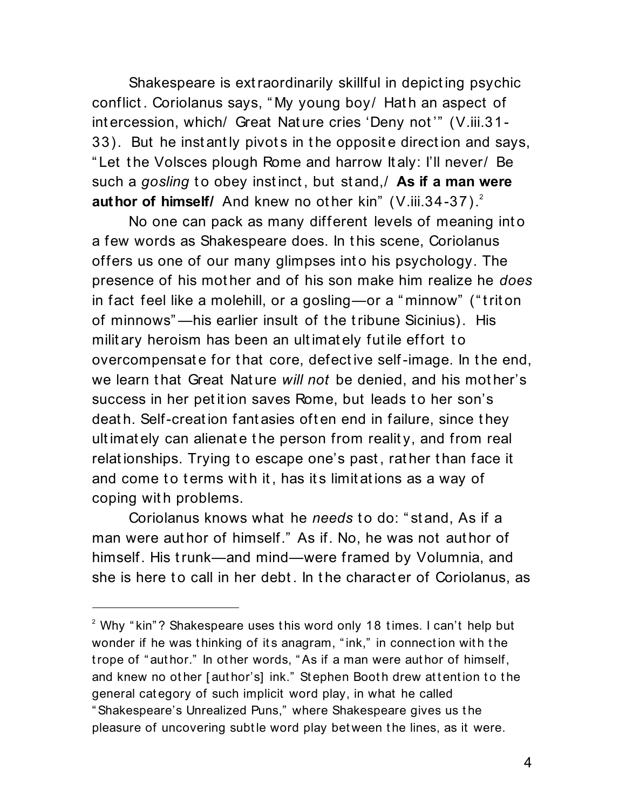Shakespeare is ext raordinarily skillful in depict ing psychic conflict. Coriolanus says, "My young boy/ Hath an aspect of int ercession, which/ Great Nat ure cries 'Deny not '" (V.iii.31- 33). But he instantly pivots in the opposite direction and says, " Let t he Volsces plough Rome and harrow It aly: I'll never/ Be such a *gosling* to obey instinct, but stand, As if a man were **author of himself/** And knew no other kin" (V.iii.34-37).<sup>2</sup>

No one can pack as many different levels of meaning int o a few words as Shakespeare does. In t his scene, Coriolanus offers us one of our many glimpses int o his psychology. The presence of his mot her and of his son make him realize he *does* in fact feel like a molehill, or a gosling—or a " minnow" (" t rit on of minnows" —his earlier insult of t he t ribune Sicinius). His milit ary heroism has been an ultimately futile effort to overcompensat e for t hat core, defect ive self-image. In t he end, we learn t hat Great Nat ure *will not* be denied, and his mot her's success in her petition saves Rome, but leads to her son's deat h. Self-creat ion fant asies oft en end in failure, since t hey ult imat ely can alienat e t he person from realit y, and from real relationships. Trying to escape one's past, rather than face it and come to terms with it, has its limitations as a way of coping with problems.

Coriolanus knows what he *needs* to do: "stand, As if a man were aut hor of himself." As if. No, he was not aut hor of himself. His t runk—and mind—were framed by Volumnia, and she is here to call in her debt. In the character of Coriolanus, as

 $2$  Why "kin"? Shakespeare uses this word only 18 times. I can't help but wonder if he was thinking of its anagram, "ink," in connection with the t rope of " aut hor." In ot her words, " As if a man were aut hor of himself, and knew no other [author's] ink." Stephen Booth drew attention to the general cat egory of such implicit word play, in what he called " Shakespeare's Unrealized Puns," where Shakespeare gives us t he pleasure of uncovering subt le word play bet ween t he lines, as it were.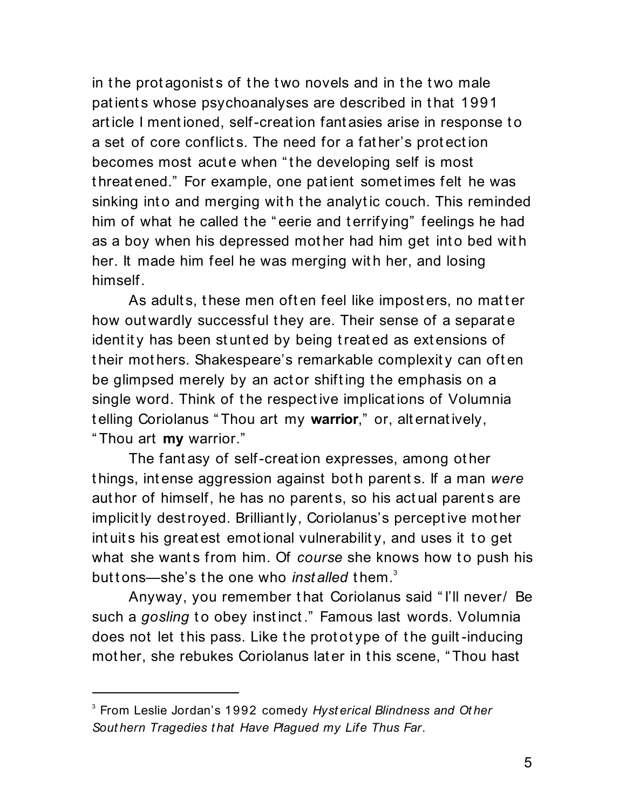in the protagonists of the two novels and in the two male pat ient s whose psychoanalyses are described in t hat 1991 art icle I ment ioned, self-creat ion fant asies arise in response t o a set of core conflicts. The need for a father's protection becomes most acute when "the developing self is most t hreat ened." For example, one pat ient somet imes felt he was sinking into and merging with the analytic couch. This reminded him of what he called the "eerie and terrifying" feelings he had as a boy when his depressed mother had him get into bed with her. It made him feel he was merging with her, and losing himself.

As adults, these men often feel like imposters, no matter how out wardly successful they are. Their sense of a separate identity has been stunted by being treated as extensions of t heir mot hers. Shakespeare's remarkable complexit y can oft en be glimpsed merely by an act or shifting the emphasis on a single word. Think of t he respect ive implicat ions of Volumnia t elling Coriolanus " Thou art my **warrior**," or, alt ernat ively, " Thou art **my** warrior."

The fant asy of self-creat ion expresses, among ot her t hings, int ense aggression against bot h parent s. If a man *were* author of himself, he has no parents, so his actual parents are implicit ly dest royed. Brilliant ly, Coriolanus's percept ive mot her intuits his greatest emotional vulnerability, and uses it to get what she wants from him. Of *course* she knows how to push his but tons—she's the one who *installed* them.<sup>3</sup>

Anyway, you remember t hat Coriolanus said " I'll never/ Be such a *gosling* to obey instinct." Famous last words. Volumnia does not let this pass. Like the prototype of the guilt-inducing mot her, she rebukes Coriolanus lat er in t his scene, " Thou hast

<sup>3</sup> From Leslie Jordan's 1992 comedy *Hyst erical Blindness and Ot her Sout hern Tragedies t hat Have Plagued my Life Thus Far*.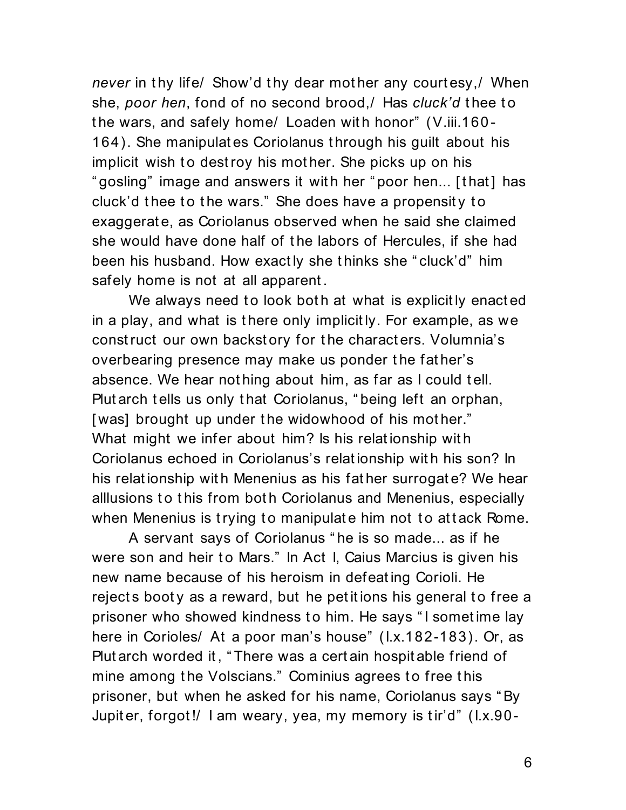*never* in thy life/ Show'd thy dear mother any courtesy,/ When she, *poor hen*, fond of no second brood, / Has *cluck'd* thee to the wars, and safely home/ Loaden with honor" (V.iii.160-164). She manipulat es Coriolanus t hrough his guilt about his implicit wish to destroy his mother. She picks up on his " gosling" image and answers it with her "poor hen... [that] has cluck'd thee to the wars." She does have a propensity to exaggerat e, as Coriolanus observed when he said she claimed she would have done half of the labors of Hercules, if she had been his husband. How exact ly she t hinks she " cluck'd" him safely home is not at all apparent.

We always need to look both at what is explicitly enacted in a play, and what is t here only implicit ly. For example, as we const ruct our own backst ory for t he charact ers. Volumnia's overbearing presence may make us ponder t he fat her's absence. We hear nothing about him, as far as I could tell. Plut arch t ells us only t hat Coriolanus, " being left an orphan, [was] brought up under the widowhood of his mother." What might we infer about him? Is his relationship with Coriolanus echoed in Coriolanus's relat ionship wit h his son? In his relat ionship wit h Menenius as his fat her surrogat e? We hear alllusions to this from both Coriolanus and Menenius, especially when Menenius is trying to manipulate him not to attack Rome.

A servant says of Coriolanus " he is so made... as if he were son and heir to Mars." In Act I, Caius Marcius is given his new name because of his heroism in defeat ing Corioli. He rejects booty as a reward, but he petitions his general to free a prisoner who showed kindness to him. He says "I sometime lay here in Corioles/ At a poor man's house" (I.x.182-183). Or, as Plut arch worded it , " There was a cert ain hospit able friend of mine among the Volscians." Cominius agrees to free this prisoner, but when he asked for his name, Coriolanus says " By Jupit er, forgot!/ I am weary, yea, my memory is tir'd" (I.x.90-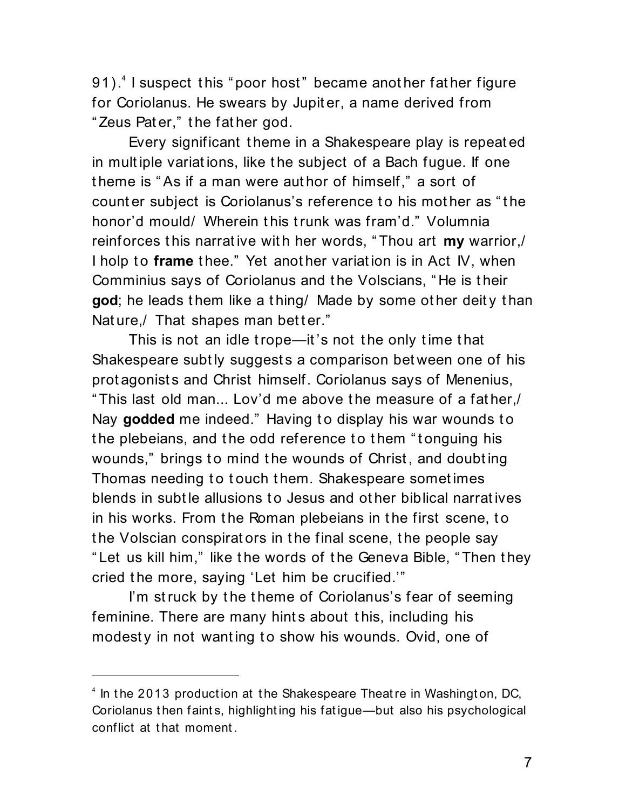91).<sup>4</sup> I suspect this "poor host" became another father figure for Coriolanus. He swears by Jupit er, a name derived from " Zeus Pat er," t he fat her god.

Every significant t heme in a Shakespeare play is repeat ed in mult iple variat ions, like t he subject of a Bach fugue. If one t heme is " As if a man were aut hor of himself," a sort of count er subject is Coriolanus's reference to his mother as "the honor'd mould/ Wherein t his t runk was fram'd." Volumnia reinforces t his narrat ive wit h her words, " Thou art **my** warrior,/ I holp to frame thee." Yet another variation is in Act IV, when Comminius says of Coriolanus and t he Volscians, " He is t heir god; he leads them like a thing/ Made by some other deity than Nature, That shapes man better."

This is not an idle trope—it's not the only time that Shakespeare subt ly suggest s a comparison bet ween one of his prot agonists and Christ himself. Coriolanus says of Menenius, " This last old man... Lov'd me above t he measure of a fat her,/ Nay godded me indeed." Having to display his war wounds to the plebeians, and the odd reference to them "tonguing his wounds," brings to mind the wounds of Christ, and doubting Thomas needing to touch them. Shakespeare sometimes blends in subt le allusions t o Jesus and ot her biblical narrat ives in his works. From the Roman plebeians in the first scene, to t he Volscian conspirat ors in t he final scene, t he people say " Let us kill him," like t he words of t he Geneva Bible, " Then t hey cried the more, saying 'Let him be crucified.'"

I'm struck by the theme of Coriolanus's fear of seeming feminine. There are many hints about this, including his modesty in not wanting to show his wounds. Ovid, one of

<sup>&</sup>lt;sup>4</sup> In the 2013 production at the Shakespeare Theatre in Washington, DC, Coriolanus t hen faint s, highlight ing his fat igue—but also his psychological conflict at that moment.